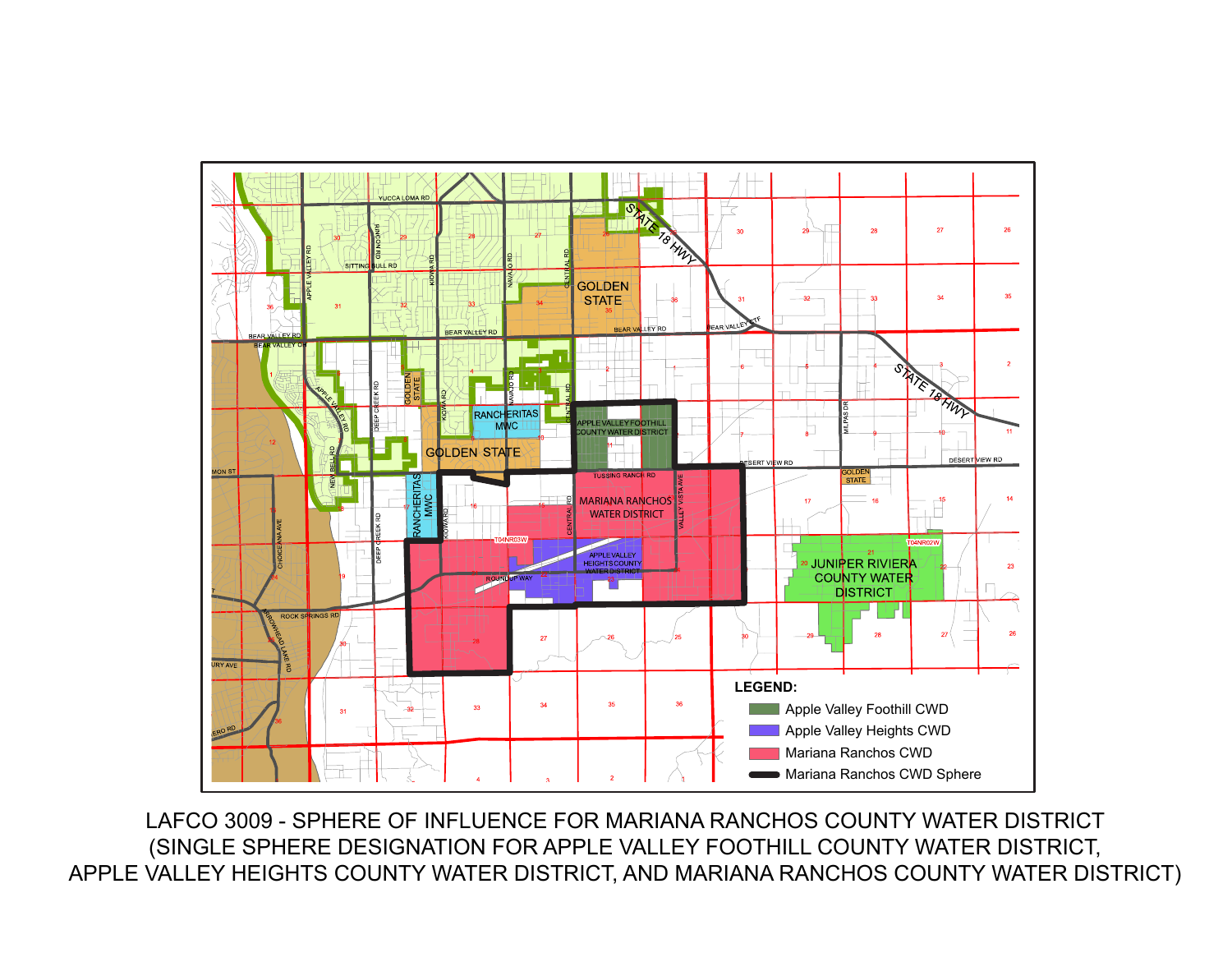

LAFCO 3009 - SPHERE OF INFLUENCE FOR MARIANA RANCHOS COUNTY WATER DISTRICT (SINGLE SPHERE DESIGNATION FOR APPLE VALLEY FOOTHILL COUNTY WATER DISTRICT, APPLE VALLEY HEIGHTS COUNTY WATER DISTRICT, AND MARIANA RANCHOS COUNTY WATER DISTRICT)